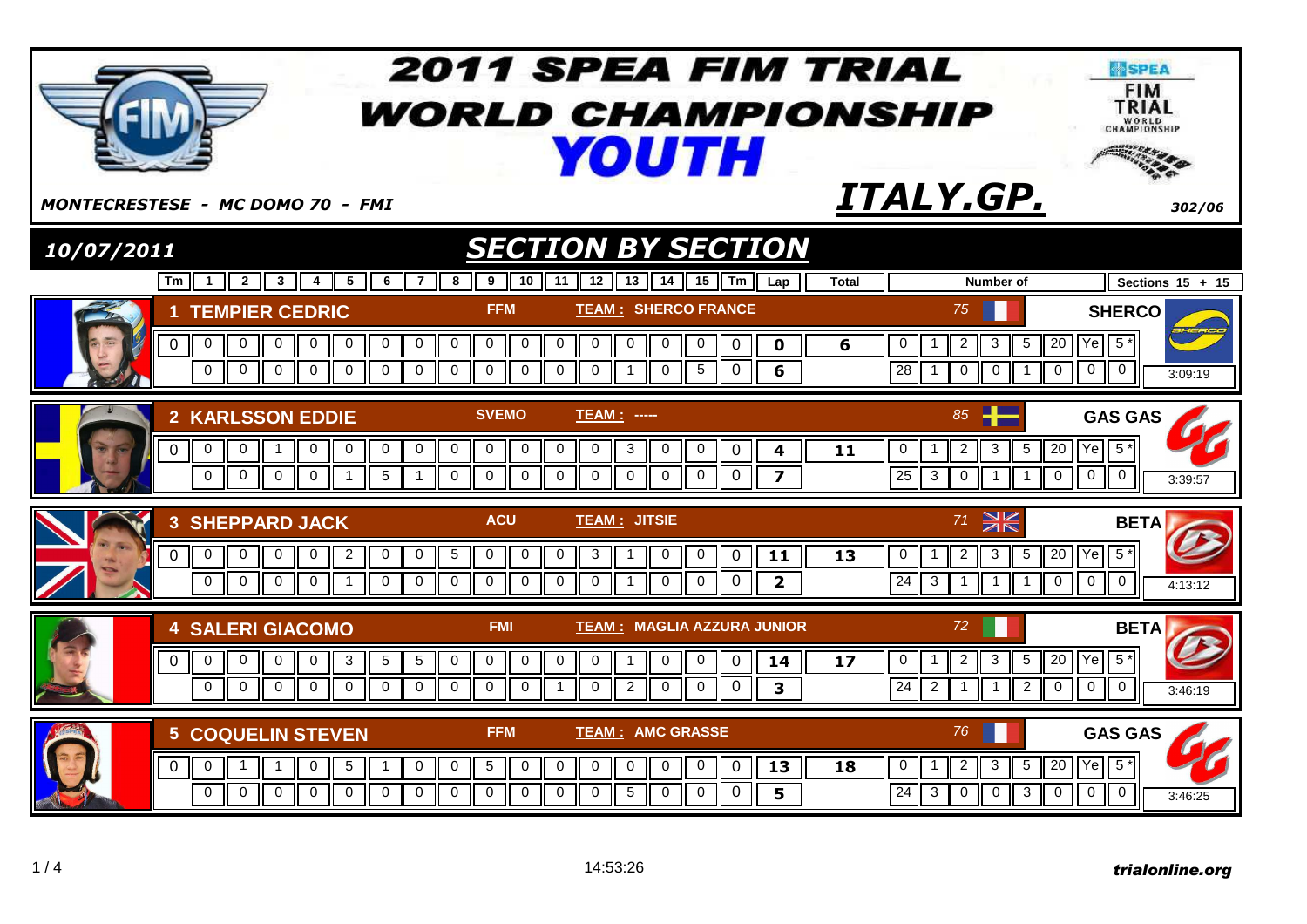|                                                                                                                                               | <b>2011 SPEA FIM TRIAL</b><br><b><i>WORLD CHAMPIONSHIP</i></b><br><b>YOUTH</b>                                                                                                                                                                                                                                                                                                                                    | <b>SPEA</b><br><b>FIM</b><br>TRIAL<br>WORLD<br>CHAMPIONSHIP                                                                                                                                                                                                      |
|-----------------------------------------------------------------------------------------------------------------------------------------------|-------------------------------------------------------------------------------------------------------------------------------------------------------------------------------------------------------------------------------------------------------------------------------------------------------------------------------------------------------------------------------------------------------------------|------------------------------------------------------------------------------------------------------------------------------------------------------------------------------------------------------------------------------------------------------------------|
| <b>MONTECRESTESE - MC DOMO 70 - FMI</b>                                                                                                       |                                                                                                                                                                                                                                                                                                                                                                                                                   | ITALY.GP.<br>302/06                                                                                                                                                                                                                                              |
| 10/07/2011                                                                                                                                    | <b>SECTION BY SECTION</b>                                                                                                                                                                                                                                                                                                                                                                                         |                                                                                                                                                                                                                                                                  |
| Tm<br>$\mathbf{1}$<br>$\overline{2}$<br>-3 II<br>4                                                                                            | 5<br>$\overline{7}$<br>10 <sup>1</sup><br>- 6<br>8<br>11<br>12 <sup>12</sup><br>13<br>14<br>15 $\parallel$ Tm $\parallel$<br>9<br>Lap                                                                                                                                                                                                                                                                             | Sections $15 + 15$<br><b>Total</b><br>Number of                                                                                                                                                                                                                  |
| <b>1 TEMPIER CEDRIC</b><br>$\mathbf 0$<br>0<br>0<br>$\mathbf 0$<br>0<br>$\Omega$<br>$\mathbf{0}$<br>$\mathbf 0$<br>$\mathbf{0}$               | <b>FFM</b><br><b>TEAM: SHERCO FRANCE</b><br>$\mathbf 0$<br>$\overline{0}$<br>$\mathbf{0}$<br>$\mathbf 0$<br>0<br>$\mathbf 0$<br>$\overline{0}$<br>0<br>0<br>$\mathbf 0$<br>0<br>$\mathbf 0$<br>$\mathbf 0$<br>$\mathbf{0}$<br>$\overline{0}$<br>$\mathbf 0$<br>$\Omega$<br>$\Omega$<br>$\Omega$<br>$\Omega$<br>$\overline{0}$<br>$\mathbf 0$<br>$\overline{1}$<br>$\Omega$<br>5<br>6                              | 75<br><b>SHERCO</b><br>$\overline{5}$<br>20 Ye 5*<br>3<br>0<br>$\overline{c}$<br>6<br>$\overline{28}$<br>$\mathbf 0$<br>$\overline{0}$<br>$\mathbf{0}$<br>$\Omega$<br>$\mathbf{0}$<br>II 1<br>3:09:19                                                            |
| 2 KARLSSON EDDIE<br>0<br>0<br>$\overline{0}$<br>0<br>H<br>1<br>$\mathbf 0$<br>$\mathbf 0$<br>$\mathbf 0$<br>$\Omega$                          | <b>SVEMO</b><br><b>TEAM: -----</b><br>0<br>$\mathbf 0$<br>$\overline{0}$<br>$\mathbf 0$<br>$\mathbf 0$<br>0<br>0<br>$\mathbf 0$<br>0<br>3<br>$\mathbf 0$<br>0<br>4<br>$\mathbf 0$<br>5<br>$\mathbf 0$<br>$\mathbf 0$<br>$\mathbf 0$<br>$\mathbf 0$<br>$\overline{1}$<br>$\mathbf 0$<br>$\overline{0}$<br>$\mathbf 0$<br>$\mathbf 0$<br>$\overline{\mathbf{z}}$<br>$\overline{1}$                                  | 85<br><b>GAS GAS</b><br>$5*$<br>$\overline{c}$<br>3<br>5<br>$20$ $ $ Ye<br>0<br>11<br>25<br>$\overline{0}$<br>$\overline{0}$<br>$\mathbf 0$<br>$\mathbf{3}$<br>$\mathbf 0$<br>$\parallel$ 1<br>$\mathbf{1}$<br>3:39.57                                           |
| <b>3 SHEPPARD JACK</b><br>$\overline{0}$<br>$\mathbf 0$<br>$\Omega$<br>0<br>0<br>$\mathbf 0$<br>$\mathbf 0$<br>$\overline{0}$<br>$\mathbf{0}$ | <b>ACU</b><br><b>TEAM: JITSIE</b><br>$\overline{5}$<br>$\overline{2}$<br>$\mathbf 0$<br>0<br>$\mathbf 0$<br>$\mathbf 0$<br>$\mathbf 0$<br>3<br>$\mathbf 0$<br>11<br>0<br>$\overline{0}$<br>1<br>$\mathbf 0$<br>$\mathbf{0}$<br>$\overline{0}$<br>$\mathbf 0$<br>$\mathbf 0$<br>$\mathbf 0$<br>0<br>$\overline{\mathbf{2}}$<br>$\overline{0}$<br>$\overline{0}$<br>$\overline{1}$<br>$\mathbf 0$<br>$\overline{1}$ | $\geqslant$<br>71<br><b>BETA</b><br>$5*$<br>$\overline{5}$<br>$20$ Ye<br>13<br>$\mathbf 0$<br>$\overline{2}$<br>3<br>$\overline{0}$<br>$\overline{24}$<br>$\overline{0}$<br>$\mathbf 0$<br>$\mathbf{3}$<br>$II$ 1<br>$\overline{1}$<br>$\overline{1}$<br>4:13:12 |
| <b>4 SALERI GIACOMO</b><br>$\overline{0}$<br>0<br>$\mathbf 0$<br>$\mathbf{0}$<br>0<br>$\Omega$<br>$\Omega$<br>$\Omega$<br>$\Omega$            | <b>TEAM: MAGLIA AZZURA JUNIOR</b><br><b>FMI</b><br>5<br>$5\phantom{.0}$<br>$\boldsymbol{0}$<br>$\mathbf 0$<br>$\mathbf 0$<br>$\mathbf 0$<br>$\mathbf 0$<br>$\mathbf 0$<br>0<br>3<br>$\mathbf{1}$<br>$\Omega$<br>14<br>2<br>$\Omega$<br>$\mathbf 0$<br>$\Omega$<br>$\overline{0}$<br>$\Omega$<br>$\Omega$<br>$\Omega$<br>$\mathbf{0}$<br>$\Omega$<br>$\mathbf{0}$<br>$\overline{\mathbf{3}}$<br>1.                 | 72<br><b>BETA</b><br>$5*$<br>$\mathbf{3}$<br>$20$ $Ye$<br>0<br>$\overline{2}$<br>5<br>17<br>$\overline{0}$<br>$\overline{0}$<br>24<br>$2^{\circ}$<br>$\overline{2}$<br>$\Omega$<br>$\overline{1}$<br>$\overline{1}$<br>3:46:19                                   |
| <b>5 COQUELIN STEVEN</b><br>$\overline{0}$<br>0<br>0<br>$\Omega$<br>$\Omega$<br>$\mathbf 0$<br>$\mathbf{0}$                                   | <b>TEAM: AMC GRASSE</b><br><b>FFM</b><br>$\boldsymbol{0}$<br>$5\phantom{.0}$<br>$\mathbf 0$<br>$\mathbf 0$<br>5<br>$\mathbf 0$<br>0<br>$\mathbf 0$<br>$\mathbf 0$<br>0<br>0<br>13<br>$\mathbf 0$<br>$\mathbf 0$<br>$\mathbf 0$<br>$\mathbf 0$<br>$\mathbf 0$<br>$\mathbf 0$<br>$\mathbf 0$<br>5<br>$\mathbf 0$<br>$\mathbf 0$<br>5<br>$\mathbf{0}$<br>$\mathbf 0$                                                 | <b>GAS GAS</b><br>76<br>$5*$<br>Ye<br>20<br>0<br>3<br>5<br>18<br>$\overline{2}$<br>$\overline{\mathsf{0}}$<br>$\overline{24}$<br>$\sqrt{3}$<br>$\overline{0}$<br>3 <sup>1</sup><br>$\overline{0}$<br>$\mathbf 0$<br>$\mathbf 0$<br>3:46:25                       |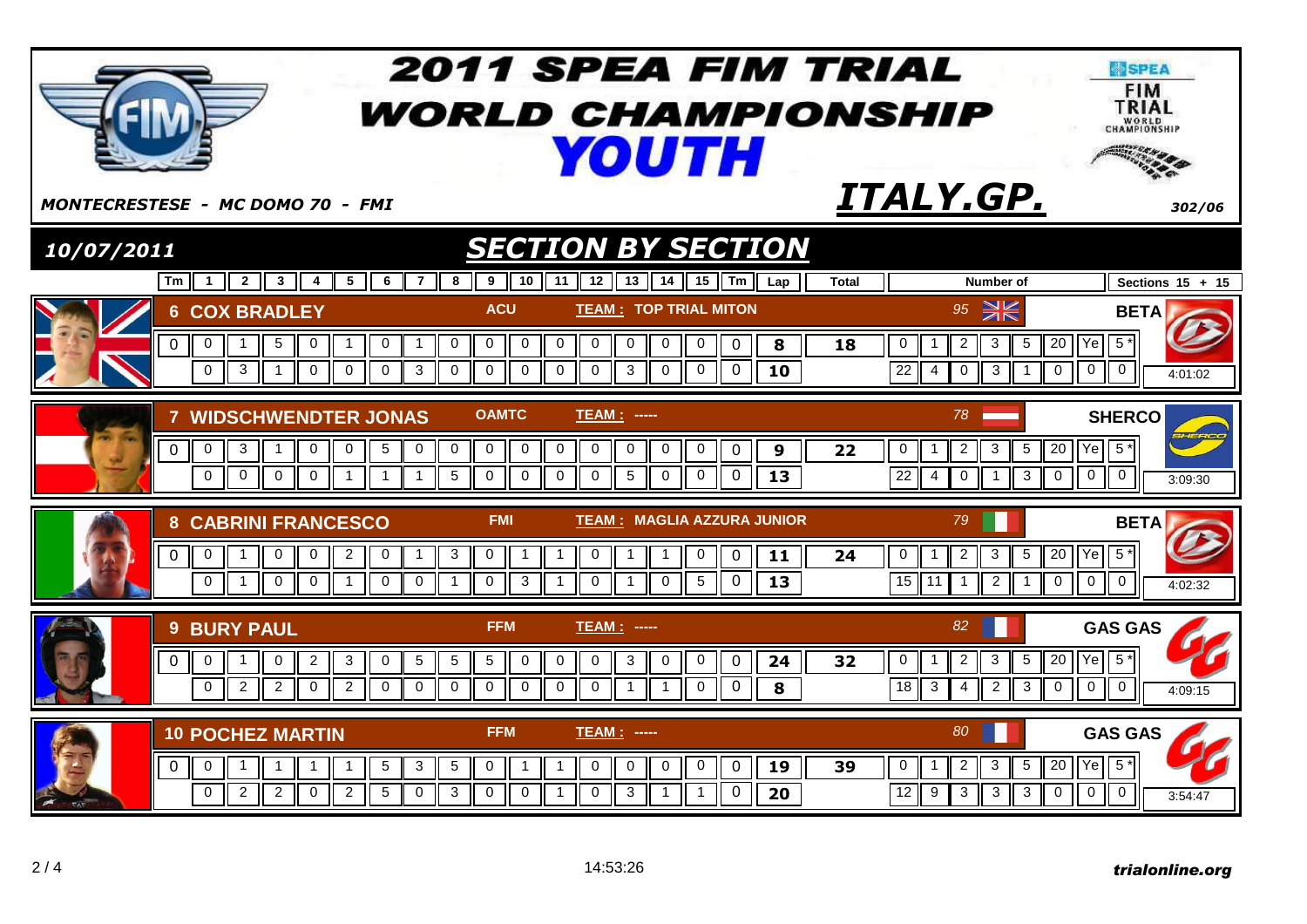|            |                                                                                                                                                                                                | <b>2011 SPEA FIM TRIAL</b><br><b><i>WORLD CHAMPIONSHIP</i></b><br><b>YOUTH</b>                                                                                                                                                                          |                                                                                                                                                                | <b>SPEA</b><br><b>FIM</b><br>TRIAL<br>WORLD<br>CHAMPIONSHIP  |
|------------|------------------------------------------------------------------------------------------------------------------------------------------------------------------------------------------------|---------------------------------------------------------------------------------------------------------------------------------------------------------------------------------------------------------------------------------------------------------|----------------------------------------------------------------------------------------------------------------------------------------------------------------|--------------------------------------------------------------|
|            | <b>MONTECRESTESE - MC DOMO 70 - FMI</b>                                                                                                                                                        |                                                                                                                                                                                                                                                         | ITALY.GP.                                                                                                                                                      | 302/06                                                       |
| 10/07/2011 |                                                                                                                                                                                                | <b>SECTION BY SECTION</b>                                                                                                                                                                                                                               |                                                                                                                                                                |                                                              |
|            | $Tm \parallel 1 \parallel 2$<br>3 <sup>1</sup><br>5 II<br>6<br>$\overline{7}$<br>4                                                                                                             | $15$ Tm Lap<br>10 <sup>1</sup><br>$12$    13   <br>14<br>8<br>9<br>11                                                                                                                                                                                   | <b>Total</b><br>Number of                                                                                                                                      | Sections $15 + 15$                                           |
|            | <b>6 COX BRADLEY</b>                                                                                                                                                                           | <b>ACU</b><br><b>TEAM: TOP TRIAL MITON</b>                                                                                                                                                                                                              | $95 \n\geq \n\geq$                                                                                                                                             | <b>BETA</b>                                                  |
|            | $\mathbf 0$<br>5<br>0<br>$\overline{1}$<br>0<br>0<br>$\mathbf{1}$<br>$\mathbf 0$<br>$\mathbf{3}$<br>$\Omega$<br>$\Omega$<br>$\mathbf{0}$<br>$\mathbf{3}$<br>$\overline{1}$                     | $\mathbf 0$<br>$\mathbf 0$<br>$\pmb{0}$<br>8<br>0<br>$\mathbf 0$<br>0<br>$\mathbf 0$<br>0<br>$\mathbf 0$<br>$\overline{0}$<br>$\Omega$<br>$\Omega$<br>$\Omega$<br>$\mathbf{3}$<br>$\mathbf 0$<br>$\mathbf 0$<br>$\Omega$<br>$\Omega$<br>10              | $20$ Ye<br>$\sqrt{5}$<br>0<br>$\overline{c}$<br>3<br>18<br>$\overline{22}$<br>$\mathbf 0$<br>$3 \parallel$<br>$\mathbf{0}$<br>$\overline{4}$<br>$\overline{1}$ | $5*$<br>$\overline{0}$<br>$\overline{0}$<br>4:01:02          |
|            | <b>7 WIDSCHWENDTER JONAS</b>                                                                                                                                                                   | <b>OAMTC</b><br>TEAM : ----                                                                                                                                                                                                                             | 78                                                                                                                                                             | <b>SHERCO</b>                                                |
|            | $\mathbf 0$<br>3<br>$\mathbf 0$<br>$\mathbf 0$<br>5<br>$\overline{0}$<br>$\mathbf 0$<br>$\Omega$<br>$\mathbf 0$<br>$\Omega$<br>$\mathbf 0$<br>$\mathbf{1}$<br>$\overline{1}$<br>$\overline{1}$ | $\mathbf 0$<br>$\mathbf 0$<br>$\mathbf 0$<br>$\mathbf 0$<br>$\mathbf 0$<br>$\mathbf 0$<br>$\overline{0}$<br>0<br>$\mathbf 0$<br>9<br>$\sqrt{5}$<br>5<br>$\mathbf 0$<br>$\Omega$<br>$\Omega$<br>$\Omega$<br>$\mathbf 0$<br>$\mathbf 0$<br>$\Omega$<br>13 | $\pmb{0}$<br>3<br>5<br>22<br>$\overline{2}$<br>1<br>$\overline{22}$<br>$\mathbf 0$<br>$\mathbf{3}$<br>$\mathbf 0$<br>$\overline{4}$<br>$\mathbf 1$             | 20 Ye 5*<br>$\overline{0}$<br>$\overline{0}$<br>3:09:30      |
|            | <b>8 CABRINI FRANCESCO</b>                                                                                                                                                                     | <b>TEAM: MAGLIA AZZURA JUNIOR</b><br><b>FMI</b>                                                                                                                                                                                                         | 79                                                                                                                                                             | <b>BETA</b>                                                  |
|            | $\overline{2}$<br>$\overline{1}$<br>0<br>$\mathbf 0$<br>$\mathbf 0$<br>0<br>0<br>$\mathbf 0$<br>$\overline{0}$<br>$\mathbf 0$<br>$\mathbf 0$<br>$\mathbf 0$                                    | $\mathbf{3}$<br>0<br>$\mathbf 0$<br>11<br>-1<br>0<br>$\Omega$<br>$\mathbf 0$<br>$\overline{13}$<br>$\overline{1}$<br>3<br>$\mathbf 0$<br>$\mathbf 0$<br>5<br>0<br>$\overline{1}$<br>$\overline{1}$                                                      | 5<br>$20$ $Ye$<br>24<br>$\mathbf 0$<br>$\overline{2}$<br>3<br>15<br>$2 \parallel$<br>$\mathbf 0$<br>11<br>$\overline{1}$<br>$\overline{1}$                     | $5*$<br>$\overline{\mathsf{c}}$<br>$\overline{0}$<br>4:02:32 |
|            | <b>9 BURY PAUL</b>                                                                                                                                                                             | <b>FFM</b><br>TEAM : -----                                                                                                                                                                                                                              | 82                                                                                                                                                             | <b>GAS GAS</b>                                               |
|            | $\overline{2}$<br>$\mathbf 0$<br>$\mathbf 0$<br>$\mathbf 0$<br>3<br>$\mathbf 0$<br>5                                                                                                           | $\sqrt{5}$<br>$\sqrt{5}$<br>$\mathbf 0$<br>3<br>$\mathbf 0$<br>0<br>$\mathbf 0$<br>0<br>$\mathbf 0$<br>24                                                                                                                                               | 3<br>5<br>0<br>$\overline{2}$<br>32                                                                                                                            | 20 Ye 5*                                                     |
|            | $\Omega$<br>$\overline{2}$<br>2<br>$\overline{2}$<br>$\Omega$<br>$\Omega$<br>$\Omega$                                                                                                          | $\Omega$<br>$\Omega$<br>$\Omega$<br>$\Omega$<br>$\Omega$<br>$\Omega$<br>$\overline{1}$<br>$\overline{1}$<br>$\Omega$<br>8                                                                                                                               | $\overline{18}$<br>$\overline{3}$<br>2 <sup>1</sup><br>$\mathbf{3}$<br>$\mathbf 0$<br>$\overline{4}$                                                           | $\overline{0}$<br>$\Omega$<br>4:09:15                        |
|            | <b>10 POCHEZ MARTIN</b>                                                                                                                                                                        | <b>FFM</b><br><b>TEAM: -----</b>                                                                                                                                                                                                                        | 80                                                                                                                                                             | <b>GAS GAS</b>                                               |
|            | $5\phantom{.0}$<br>$\mathbf 0$<br>$\mathbf 0$<br>3<br>$\mathbf{1}$                                                                                                                             | 5<br>$\mathbf 0$<br>$\mathbf 0$<br>$\mathbf 0$<br>$\mathbf 0$<br>$\mathbf 0$<br>$\mathbf 0$<br>$\overline{1}$<br>-1<br>19                                                                                                                               | 3<br>$20$ $Ye$<br>0<br>$\overline{2}$<br>5<br>39                                                                                                               | $5*$                                                         |
|            | 2<br>$\Omega$<br>2<br>$\overline{2}$<br>$5\phantom{.0}$<br>$\mathbf 0$<br>$\mathbf 0$                                                                                                          | 3<br>$\mathbf 0$<br>$\mathbf 0$<br>3<br>$\mathbf 0$<br>$\overline{1}$<br>$\overline{1}$<br>$\Omega$<br>20                                                                                                                                               | 12<br>3<br>3<br>$\mathbf{3}$<br>9<br>$\overline{0}$                                                                                                            | $\overline{0}$<br>$\overline{0}$<br>3:54:47                  |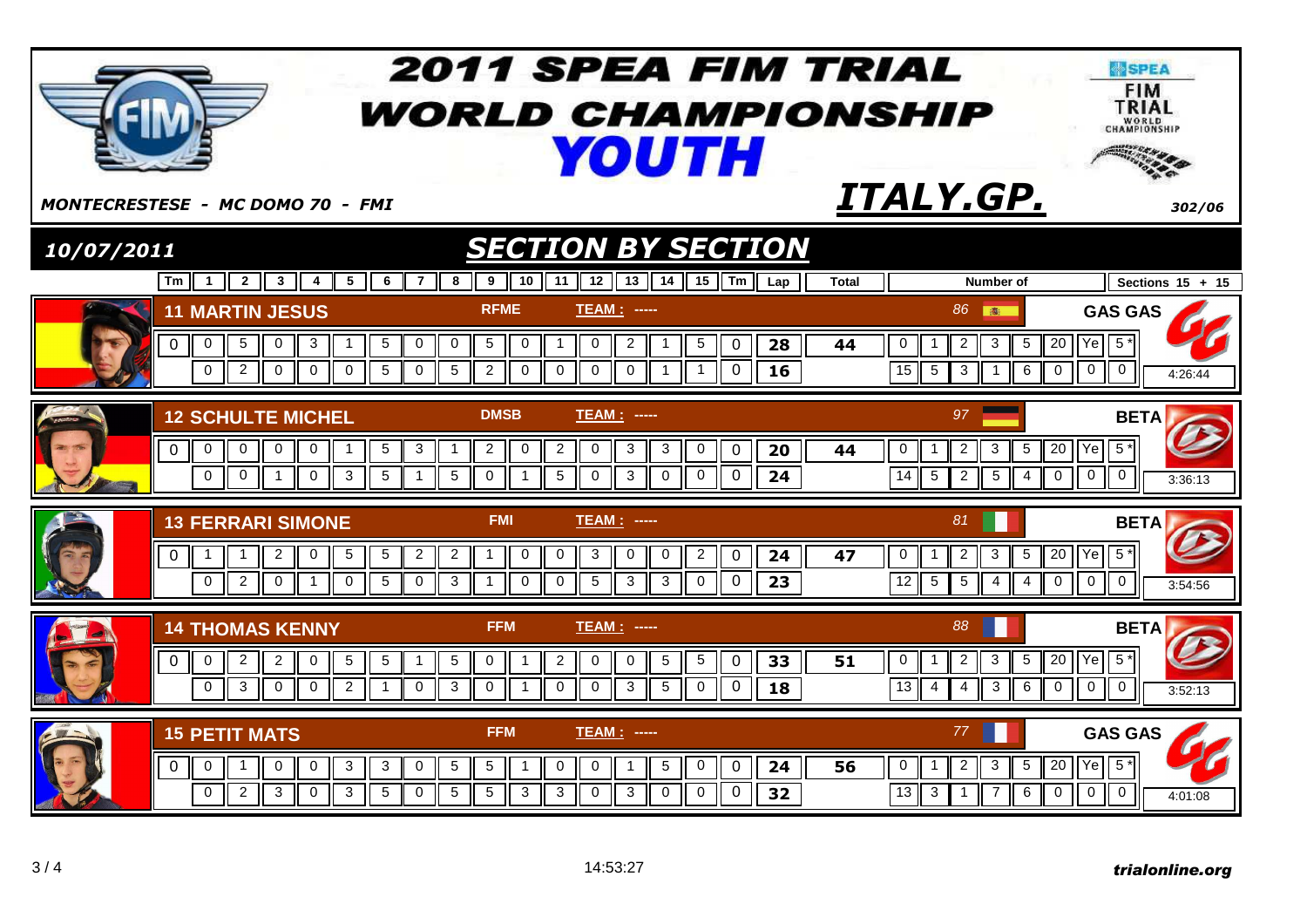|            |                                                                                                                                                                                                                              | <b>2011 SPEA FIM TRIAL</b><br><b><i>WORLD CHAMPIONSHIP</i></b><br><b>YOUTH</b>                                                                                                                                                                                                                                              |                                                                                                                                                                                                                          | <b>SPEA</b><br><b>FIM</b><br>TRIAL<br>WORLD<br>CHAMPIONSHIP |
|------------|------------------------------------------------------------------------------------------------------------------------------------------------------------------------------------------------------------------------------|-----------------------------------------------------------------------------------------------------------------------------------------------------------------------------------------------------------------------------------------------------------------------------------------------------------------------------|--------------------------------------------------------------------------------------------------------------------------------------------------------------------------------------------------------------------------|-------------------------------------------------------------|
|            | <b>MONTECRESTESE - MC DOMO 70 - FMI</b>                                                                                                                                                                                      |                                                                                                                                                                                                                                                                                                                             | ITALY.GP.                                                                                                                                                                                                                | 302/06                                                      |
| 10/07/2011 |                                                                                                                                                                                                                              | <b>SECTION BY SECTION</b>                                                                                                                                                                                                                                                                                                   |                                                                                                                                                                                                                          |                                                             |
|            | $Tm$ 1 2<br>$\overline{7}$<br>$\parallel$ 3 $\parallel$ 4<br>5<br>6                                                                                                                                                          | 12   13   14   15   Tm   Lap<br>10<br>11<br>8<br>9                                                                                                                                                                                                                                                                          | <b>Total</b><br>Number of                                                                                                                                                                                                | Sections $15 + 15$                                          |
|            | <b>11 MARTIN JESUS</b><br>$\mathbf 0$<br>5<br>3<br>5<br>0<br>0<br>0<br>$\mathbf{1}$<br>$\overline{2}$<br>$\Omega$<br>$\Omega$<br>$\Omega$<br>$\Omega$<br>5<br>$\Omega$                                                       | <b>RFME</b><br><b>TEAM: ----</b><br>2<br>0<br>$5\phantom{.0}$<br>$\mathbf 0$<br>$\mathbf 0$<br>5<br>28<br>0<br>$\mathbf{1}$<br>$\overline{1}$<br>$\overline{5}$<br>$\overline{2}$<br>$\Omega$<br>$\Omega$<br>$\Omega$<br>$\mathbf{0}$<br>$\Omega$<br>$\overline{1}$<br>16<br>1                                              | 86 画<br><b>GAS GAS</b><br>$5*$<br>0<br>$\overline{c}$<br>$\mathbf{3}$<br>20<br>Ye<br>5<br>44<br>15<br>$5\phantom{.0}$<br>$\mathbf 0$<br>$\mathbf 0$<br>3<br>6<br>$\Omega$<br>$\overline{1}$                              | 4:26:44                                                     |
|            | <b>12 SCHULTE MICHEL</b><br>$\overline{0}$<br>0<br>5<br>3<br>0<br>0<br>0<br>-1<br>$\mathbf{0}$<br>$\Omega$<br>$\mathbf{3}$<br>5<br>$\overline{1}$<br>$\mathbf{0}$<br>$\mathbf{1}$                                            | <b>DMSB</b><br><b>TEAM: -----</b><br>$\overline{c}$<br>$\overline{2}$<br>0<br>3<br>3<br>0<br>$\mathbf 0$<br>20<br>0<br>-1<br>5<br>$\mathbf 0$<br>5<br>$\Omega$<br>$\mathbf 0$<br>$\Omega$<br>$\overline{1}$<br>3<br>$\mathbf 0$<br>24                                                                                       | 97<br><b>BETA</b><br>$5*$<br>5<br>$\overline{20}$<br> Ye <br>$\mathbf 0$<br>$\overline{c}$<br>$\mathbf{3}$<br>44<br>-1<br>14<br>$\mathbf 0$<br>5<br>$\overline{2}$<br>5<br>$\mathbf 0$<br>$\mathbf{0}$<br>$\overline{4}$ | 3:36:13                                                     |
|            | <b>13 FERRARI SIMONE</b><br>$\sqrt{5}$<br>5<br>$\overline{2}$<br>$\overline{2}$<br>$\Omega$<br>$\mathbf{1}$<br>0<br>-1<br>$\mathbf{0}$<br>$\overline{2}$<br>$\mathbf 0$<br>5<br>$\mathbf 0$<br>$\mathbf 0$<br>$\overline{1}$ | <b>FMI</b><br><b>TEAM: -----</b><br>$\overline{2}$<br>$\mathbf 0$<br>$\mathbf 0$<br>3<br>$\mathbf{1}$<br>0<br>0<br>$\overline{2}$<br>0<br>24<br>$\overline{5}$<br>$\overline{0}$<br>3<br>$\mathbf 0$<br>$\mathbf{3}$<br>0<br>23<br>$\mathbf 0$<br>3<br>$\overline{1}$                                                       | 81<br><b>BETA</b><br>$5*$<br>$\overline{2}$<br>5<br>$20$ $Ye$<br>0<br>3<br>47<br>-1<br>$\overline{12}$<br>$\sqrt{5}$<br>$\overline{0}$<br>$\mathbf 0$<br>5<br>$4 \mid$<br>$\mathbf 0$<br>$\overline{4}$                  | 3:54:56                                                     |
|            | <b>14 THOMAS KENNY</b><br>$\mathbf{2}$<br>$\overline{2}$<br>$5\phantom{.0}$<br>5<br>$\overline{0}$<br>0<br>$\mathbf 0$<br>$\mathbf{1}$<br>$\overline{2}$<br>$\mathbf 0$<br>3<br>$\mathbf 0$<br>$\mathbf 0$<br>$\mathbf 0$    | <b>FFM</b><br><b>TEAM:</b><br>$\cdots$<br>$\sqrt{5}$<br>$\overline{2}$<br>$\mathbf 0$<br>$\sqrt{5}$<br>5<br>$\mathbf 0$<br>$\overline{1}$<br>0<br>$\mathbf 0$<br>33<br>$\overline{3}$<br>$\overline{3}$<br>$\mathbf 0$<br>$\mathbf 0$<br>$\mathbf 0$<br>$\mathbf 0$<br>$5\phantom{.0}$<br>$\pmb{0}$<br>$\overline{1}$<br>18 | 88<br><b>BETA</b><br>$5*$<br>5<br>$\overline{20}$<br> Ye <br>$\overline{2}$<br>$\mathbf{3}$<br>51<br>0<br>3<br>$\mathbf 0$<br>$\mathbf 0$<br>13<br>6<br>0<br>$\overline{4}$<br>4                                         | 3:52:13                                                     |
|            | <b>15 PETIT MATS</b><br>$\overline{0}$<br>$\mathbf 0$<br>$\overline{1}$<br>$\mathbf 0$<br>$\mathbf 0$<br>3<br>$\mathbf 0$<br>3<br>$\Omega$<br>2<br>3<br>3<br>5<br>$\Omega$<br>$\Omega$                                       | <b>FFM</b><br><b>TEAM: -----</b><br>$\sqrt{5}$<br>5<br>5<br>0<br>0<br>0<br>24<br>$\overline{1}$<br>$\overline{1}$<br>$\overline{0}$<br>5<br>5<br>3<br>3<br>$\Omega$<br>3<br>$\mathbf 0$<br>$\mathbf 0$<br>$\Omega$<br>32                                                                                                    | <b>GAS GAS</b><br>77<br>Ye<br>$5*$<br>$\overline{2}$<br>$\mathbf{3}$<br>5<br>$\overline{20}$<br>$\mathbf 0$<br>56<br>13<br>$\mathbf 0$<br>$\mathbf 0$<br>3<br>$\overline{7}$<br>6<br>$\mathbf 0$<br>-1                   | 4:01:08                                                     |